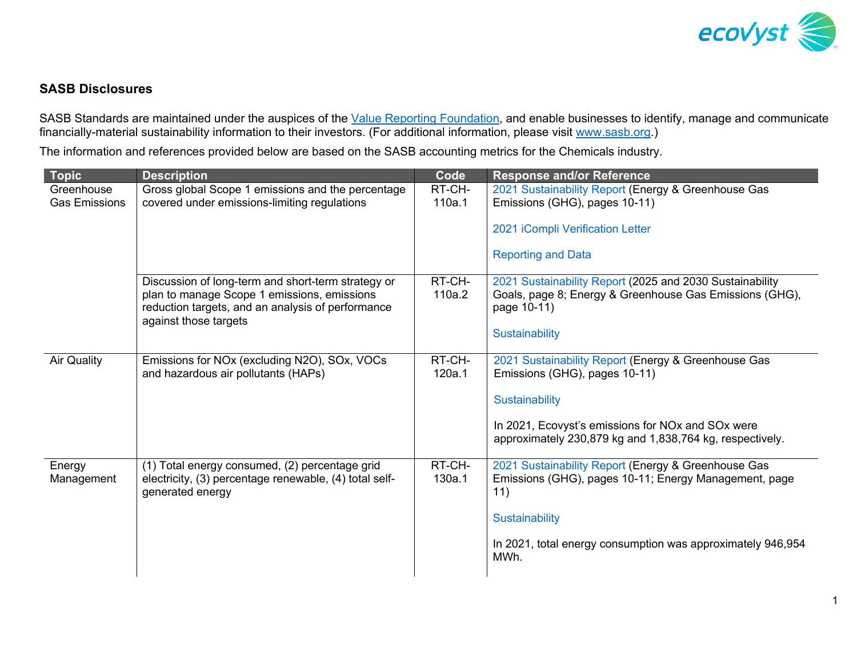

## **SASB Disclosures**

SASB Standards are maintained under the auspices of the [Value Reporting Foundation, a](https://www.valuereportingfoundation.org/)nd enable businesses to identify, manage and communicate financially-material sustainability information to their investors. (For additional information, please visit www.sasb.org.)

The information and references provided below are based on the SASB accounting metrics for the Chemicals industry.

| <b>Topic</b>                       | <b>Description</b>                                                                                                                                                              | Code             | <b>Response and/or Reference</b>                                                                                                   |
|------------------------------------|---------------------------------------------------------------------------------------------------------------------------------------------------------------------------------|------------------|------------------------------------------------------------------------------------------------------------------------------------|
| Greenhouse<br><b>Gas Emissions</b> | Gross global Scope 1 emissions and the percentage<br>covered under emissions-limiting regulations                                                                               | RT-CH-<br>110a.1 | 2021 Sustainability Report (Energy & Greenhouse Gas<br>Emissions (GHG), pages 10-11)                                               |
|                                    |                                                                                                                                                                                 |                  | 2021 iCompli Verification Letter                                                                                                   |
|                                    |                                                                                                                                                                                 |                  | <b>Reporting and Data</b>                                                                                                          |
|                                    | Discussion of long-term and short-term strategy or<br>plan to manage Scope 1 emissions, emissions<br>reduction targets, and an analysis of performance<br>against those targets | RT-CH-<br>110a.2 | 2021 Sustainability Report (2025 and 2030 Sustainability<br>Goals, page 8; Energy & Greenhouse Gas Emissions (GHG),<br>page 10-11) |
|                                    |                                                                                                                                                                                 |                  | Sustainability                                                                                                                     |
| <b>Air Quality</b>                 | Emissions for NOx (excluding N2O), SOx, VOCs<br>and hazardous air pollutants (HAPs)                                                                                             | RT-CH-<br>120a.1 | 2021 Sustainability Report (Energy & Greenhouse Gas<br>Emissions (GHG), pages 10-11)                                               |
|                                    |                                                                                                                                                                                 |                  | Sustainability                                                                                                                     |
|                                    |                                                                                                                                                                                 |                  | In 2021, Ecovyst's emissions for NOx and SOx were<br>approximately 230,879 kg and 1,838,764 kg, respectively.                      |
| Energy<br>Management               | (1) Total energy consumed, (2) percentage grid<br>electricity, (3) percentage renewable, (4) total self-<br>generated energy                                                    | RT-CH-<br>130a.1 | 2021 Sustainability Report (Energy & Greenhouse Gas<br>Emissions (GHG), pages 10-11; Energy Management, page<br>11)                |
|                                    |                                                                                                                                                                                 |                  | Sustainability                                                                                                                     |
|                                    |                                                                                                                                                                                 |                  | In 2021, total energy consumption was approximately 946,954<br>MWh.                                                                |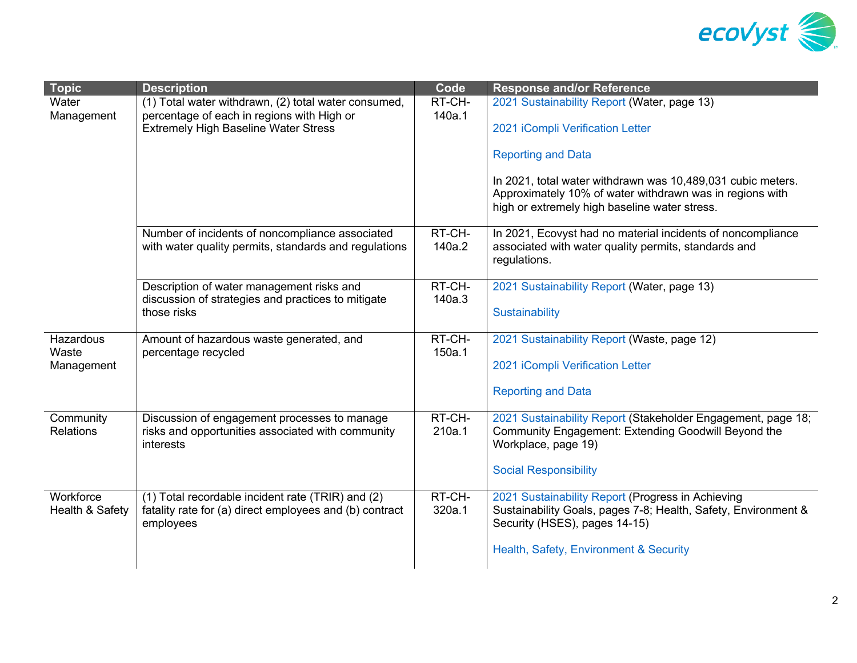

| <b>Topic</b>                  | <b>Description</b>                                                                                                        | Code             | <b>Response and/or Reference</b>                                                                                                                                         |
|-------------------------------|---------------------------------------------------------------------------------------------------------------------------|------------------|--------------------------------------------------------------------------------------------------------------------------------------------------------------------------|
| Water<br>Management           | (1) Total water withdrawn, (2) total water consumed,                                                                      | RT-CH-<br>140a.1 | 2021 Sustainability Report (Water, page 13)                                                                                                                              |
|                               | percentage of each in regions with High or<br><b>Extremely High Baseline Water Stress</b>                                 |                  | 2021 iCompli Verification Letter                                                                                                                                         |
|                               |                                                                                                                           |                  | <b>Reporting and Data</b>                                                                                                                                                |
|                               |                                                                                                                           |                  | In 2021, total water withdrawn was 10,489,031 cubic meters.<br>Approximately 10% of water withdrawn was in regions with<br>high or extremely high baseline water stress. |
|                               | Number of incidents of noncompliance associated<br>with water quality permits, standards and regulations                  | RT-CH-<br>140a.2 | In 2021, Ecovyst had no material incidents of noncompliance<br>associated with water quality permits, standards and<br>regulations.                                      |
|                               | Description of water management risks and<br>discussion of strategies and practices to mitigate                           | RT-CH-<br>140a.3 | 2021 Sustainability Report (Water, page 13)                                                                                                                              |
|                               | those risks                                                                                                               |                  | Sustainability                                                                                                                                                           |
| Hazardous<br>Waste            | Amount of hazardous waste generated, and<br>percentage recycled                                                           | RT-CH-<br>150a.1 | 2021 Sustainability Report (Waste, page 12)                                                                                                                              |
| Management                    |                                                                                                                           |                  | 2021 iCompli Verification Letter                                                                                                                                         |
|                               |                                                                                                                           |                  | <b>Reporting and Data</b>                                                                                                                                                |
| Community<br><b>Relations</b> | Discussion of engagement processes to manage<br>risks and opportunities associated with community<br>interests            | RT-CH-<br>210a.1 | 2021 Sustainability Report (Stakeholder Engagement, page 18;<br>Community Engagement: Extending Goodwill Beyond the<br>Workplace, page 19)                               |
|                               |                                                                                                                           |                  | <b>Social Responsibility</b>                                                                                                                                             |
| Workforce<br>Health & Safety  | (1) Total recordable incident rate (TRIR) and (2)<br>fatality rate for (a) direct employees and (b) contract<br>employees | RT-CH-<br>320a.1 | 2021 Sustainability Report (Progress in Achieving<br>Sustainability Goals, pages 7-8; Health, Safety, Environment &<br>Security (HSES), pages 14-15)                     |
|                               |                                                                                                                           |                  | Health, Safety, Environment & Security                                                                                                                                   |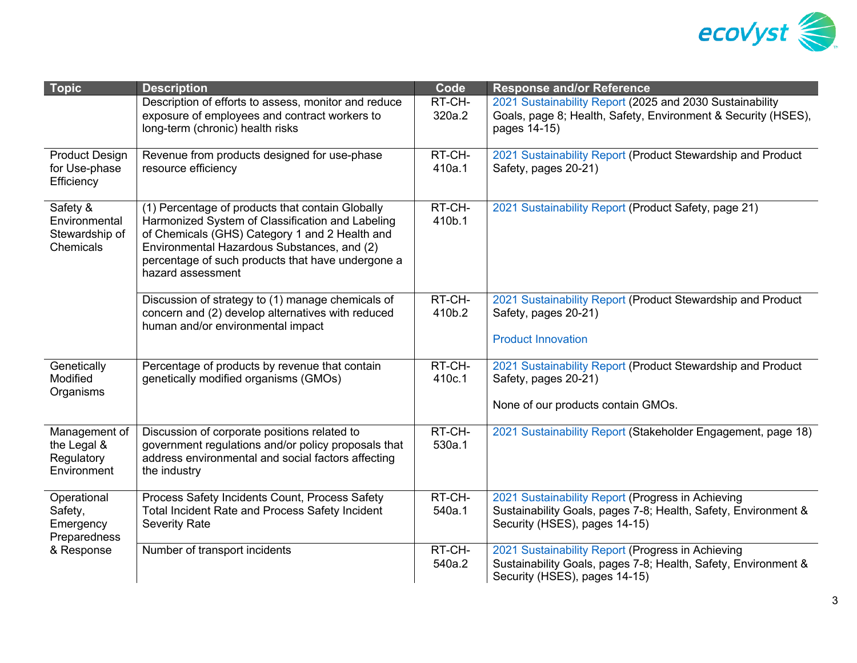

| <b>Topic</b>                                                      | <b>Description</b>                                                                                                                                                                                                                                                              | Code             | <b>Response and/or Reference</b>                                                                                                                     |
|-------------------------------------------------------------------|---------------------------------------------------------------------------------------------------------------------------------------------------------------------------------------------------------------------------------------------------------------------------------|------------------|------------------------------------------------------------------------------------------------------------------------------------------------------|
|                                                                   | Description of efforts to assess, monitor and reduce<br>exposure of employees and contract workers to<br>long-term (chronic) health risks                                                                                                                                       | RT-CH-<br>320a.2 | 2021 Sustainability Report (2025 and 2030 Sustainability<br>Goals, page 8; Health, Safety, Environment & Security (HSES),<br>pages 14-15)            |
| <b>Product Design</b><br>for Use-phase<br>Efficiency              | Revenue from products designed for use-phase<br>resource efficiency                                                                                                                                                                                                             | RT-CH-<br>410a.1 | 2021 Sustainability Report (Product Stewardship and Product<br>Safety, pages 20-21)                                                                  |
| Safety &<br>Environmental<br>Stewardship of<br>Chemicals          | (1) Percentage of products that contain Globally<br>Harmonized System of Classification and Labeling<br>of Chemicals (GHS) Category 1 and 2 Health and<br>Environmental Hazardous Substances, and (2)<br>percentage of such products that have undergone a<br>hazard assessment | RT-CH-<br>410b.1 | 2021 Sustainability Report (Product Safety, page 21)                                                                                                 |
|                                                                   | Discussion of strategy to (1) manage chemicals of<br>concern and (2) develop alternatives with reduced<br>human and/or environmental impact                                                                                                                                     | RT-CH-<br>410b.2 | 2021 Sustainability Report (Product Stewardship and Product<br>Safety, pages 20-21)<br><b>Product Innovation</b>                                     |
| Genetically<br>Modified<br>Organisms                              | Percentage of products by revenue that contain<br>genetically modified organisms (GMOs)                                                                                                                                                                                         |                  | 2021 Sustainability Report (Product Stewardship and Product<br>Safety, pages 20-21)<br>None of our products contain GMOs.                            |
| Management of<br>the Legal &<br>Regulatory<br>Environment         | Discussion of corporate positions related to<br>government regulations and/or policy proposals that<br>address environmental and social factors affecting<br>the industry                                                                                                       |                  | 2021 Sustainability Report (Stakeholder Engagement, page 18)                                                                                         |
| Operational<br>Safety,<br>Emergency<br>Preparedness<br>& Response | Process Safety Incidents Count, Process Safety<br>Total Incident Rate and Process Safety Incident<br><b>Severity Rate</b>                                                                                                                                                       | RT-CH-<br>540a.1 | 2021 Sustainability Report (Progress in Achieving<br>Sustainability Goals, pages 7-8; Health, Safety, Environment &<br>Security (HSES), pages 14-15) |
|                                                                   | Number of transport incidents                                                                                                                                                                                                                                                   | RT-CH-<br>540a.2 | 2021 Sustainability Report (Progress in Achieving<br>Sustainability Goals, pages 7-8; Health, Safety, Environment &<br>Security (HSES), pages 14-15) |